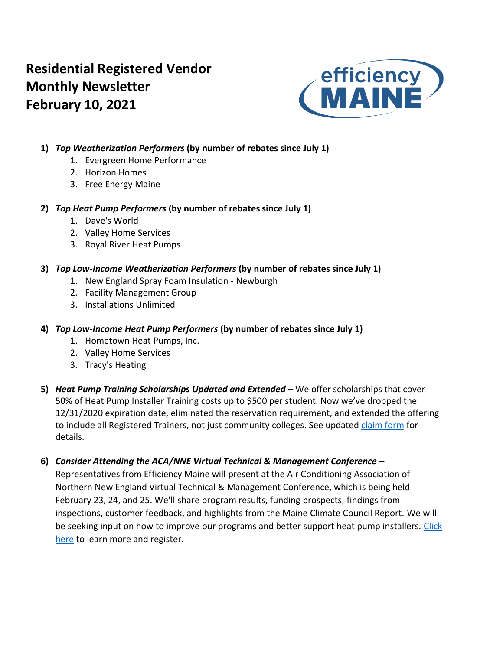# **Residential Registered Vendor Monthly Newsletter February 10, 2021**



### **1)** *Top Weatherization Performers* **(by number of rebates since July 1)**

- 1. Evergreen Home Performance
- 2. Horizon Homes
- 3. Free Energy Maine

#### **2)** *Top Heat Pump Performers* **(by number of rebates since July 1)**

- 1. Dave's World
- 2. Valley Home Services
- 3. Royal River Heat Pumps

#### **3)** *Top Low-Income Weatherization Performers* **(by number of rebates since July 1)**

- 1. New England Spray Foam Insulation Newburgh
- 2. Facility Management Group
- 3. Installations Unlimited

### **4)** *Top Low-Income Heat Pump Performers* **(by number of rebates since July 1)**

- 1. Hometown Heat Pumps, Inc.
- 2. Valley Home Services
- 3. Tracy's Heating
- **5)** *Heat Pump Training Scholarships Updated and Extended –* We offer scholarships that cover 50% of Heat Pump Installer Training costs up to \$500 per student. Now we've dropped the 12/31/2020 expiration date, eliminated the reservation requirement, and extended the offering to include all Registered Trainers, not just community colleges. See update[d claim form](https://www.efficiencymaine.com/docs/RRV-Heat-Pump-Training-Scholarship-Application.pdf) for details.

## **6)** *Consider Attending the ACA/NNE Virtual Technical & Management Conference –*

Representatives from Efficiency Maine will present at the Air Conditioning Association of Northern New England Virtual Technical & Management Conference, which is being held February 23, 24, and 25. We'll share program results, funding prospects, findings from inspections, customer feedback, and highlights from the Maine Climate Council Report. We will be seeking input on how to improve our programs and better support heat pump installers. Click [here](https://www.acane.org/events.html) to learn more and register.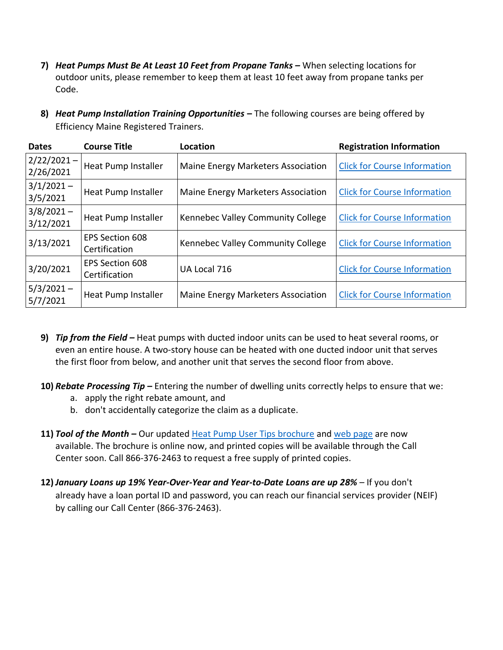- **7)** *Heat Pumps Must Be At Least 10 Feet from Propane Tanks –* When selecting locations for outdoor units, please remember to keep them at least 10 feet away from propane tanks per Code.
- **8)** *Heat Pump Installation Training Opportunities* **–** The following courses are being offered by Efficiency Maine Registered Trainers.

| <b>Dates</b>               | <b>Course Title</b>                     | Location                           | <b>Registration Information</b>     |
|----------------------------|-----------------------------------------|------------------------------------|-------------------------------------|
| $2/22/2021 -$<br>2/26/2021 | Heat Pump Installer                     | Maine Energy Marketers Association | <b>Click for Course Information</b> |
| $3/1/2021 -$<br>3/5/2021   | Heat Pump Installer                     | Maine Energy Marketers Association | <b>Click for Course Information</b> |
| $3/8/2021 -$<br>3/12/2021  | Heat Pump Installer                     | Kennebec Valley Community College  | <b>Click for Course Information</b> |
| 3/13/2021                  | <b>EPS Section 608</b><br>Certification | Kennebec Valley Community College  | <b>Click for Course Information</b> |
| 3/20/2021                  | <b>EPS Section 608</b><br>Certification | UA Local 716                       | <b>Click for Course Information</b> |
| $5/3/2021 -$<br>5/7/2021   | Heat Pump Installer                     | Maine Energy Marketers Association | <b>Click for Course Information</b> |

- **9)** *Tip from the Field –* Heat pumps with ducted indoor units can be used to heat several rooms, or even an entire house. A two-story house can be heated with one ducted indoor unit that serves the first floor from below, and another unit that serves the second floor from above.
- **10)** *Rebate Processing Tip –* Entering the number of dwelling units correctly helps to ensure that we:
	- a. apply the right rebate amount, and
	- b. don't accidentally categorize the claim as a duplicate.
- 11) **Tool of the Month –** Our updated [Heat Pump User Tips brochure](https://www.efficiencymaine.com/docs/Heat-Pump-User-Tips.pdf) and [web page](https://www.efficiencymaine.com/heat-pump-user-tips/) are now available. The brochure is online now, and printed copies will be available through the Call Center soon. Call 866-376-2463 to request a free supply of printed copies.
- **12)** *January Loans up 19% Year-Over-Year and Year-to-Date Loans are up 28% –* If you don't already have a loan portal ID and password, you can reach our financial services provider (NEIF) by calling our Call Center (866-376-2463).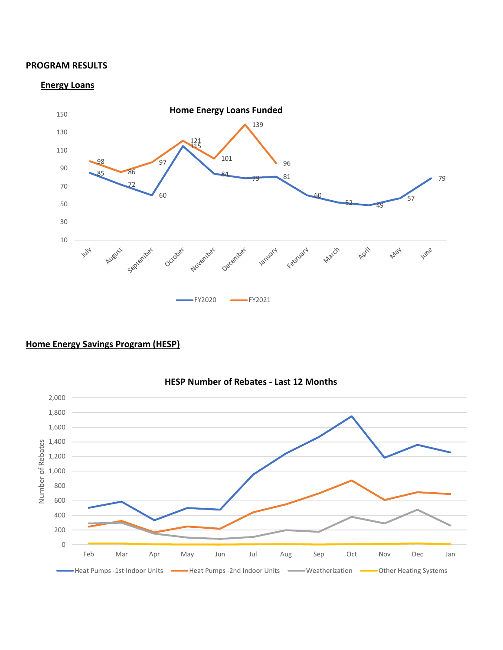#### **PROGRAM RESULTS**

#### **Energy Loans**



### **Home Energy Savings Program (HESP)**



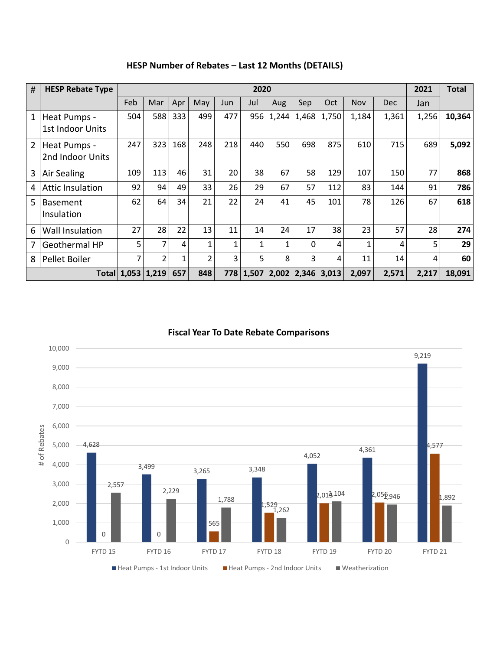| #              | <b>HESP Rebate Type</b>          | 2020                  |                |     |              |     |              |       |       |       |            |            | 2021  | <b>Total</b> |
|----------------|----------------------------------|-----------------------|----------------|-----|--------------|-----|--------------|-------|-------|-------|------------|------------|-------|--------------|
|                |                                  | Feb                   | Mar            | Apr | May          | Jun | Jul          | Aug   | Sep   | Oct   | <b>Nov</b> | <b>Dec</b> | Jan   |              |
| 1              | Heat Pumps -<br>1st Indoor Units | 504                   | 588            | 333 | 499          | 477 | 956          | 1,244 | 1,468 | 1,750 | 1,184      | 1,361      | 1,256 | 10,364       |
| $\overline{2}$ | Heat Pumps -<br>2nd Indoor Units | 247                   | 323            | 168 | 248          | 218 | 440          | 550   | 698   | 875   | 610        | 715        | 689   | 5,092        |
| 3              | Air Sealing                      | 109                   | 113            | 46  | 31           | 20  | 38           | 67    | 58    | 129   | 107        | 150        | 77    | 868          |
| 4              | <b>Attic Insulation</b>          | 92                    | 94             | 49  | 33           | 26  | 29           | 67    | 57    | 112   | 83         | 144        | 91    | 786          |
| 5              | <b>Basement</b><br>Insulation    | 62                    | 64             | 34  | 21           | 22  | 24           | 41    | 45    | 101   | 78         | 126        | 67    | 618          |
| 6              | Wall Insulation                  | 27                    | 28             | 22  | 13           | 11  | 14           | 24    | 17    | 38    | 23         | 57         | 28    | 274          |
| 7              | Geothermal HP                    | 5                     | 7              | 4   | $\mathbf{1}$ |     | $\mathbf{1}$ | 1     | 0     | 4     | 1          | 4          | 5     | 29           |
| 8              | Pellet Boiler                    | 7                     | $\overline{2}$ | 1   | 2            | 3   | 5            | 8     | 3     | 4     | 11         | 14         | 4     | 60           |
|                |                                  | Total   1,053   1,219 |                | 657 | 848          |     | 778 1,507    | 2,002 | 2,346 | 3,013 | 2,097      | 2,571      | 2,217 | 18,091       |

### **HESP Number of Rebates – Last 12 Months (DETAILS)**

#### **Fiscal Year To Date Rebate Comparisons**

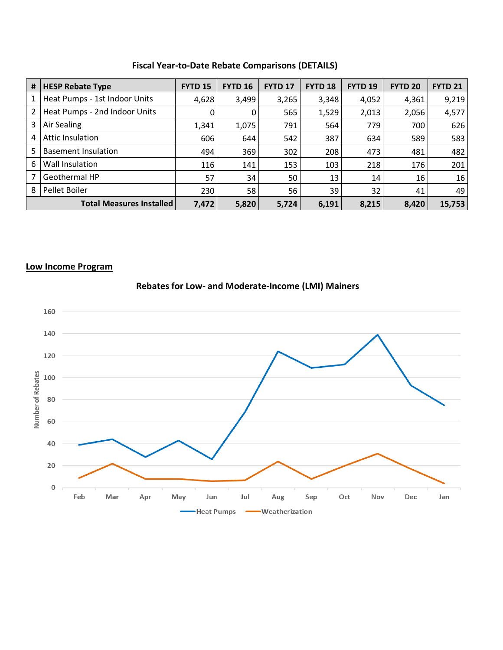#### **Fiscal Year-to-Date Rebate Comparisons (DETAILS)**

| # | <b>HESP Rebate Type</b>         | <b>FYTD 15</b> | <b>FYTD 16</b> | <b>FYTD 17</b> | <b>FYTD 18</b> | <b>FYTD 19</b> | <b>FYTD 20</b> | <b>FYTD 21</b> |
|---|---------------------------------|----------------|----------------|----------------|----------------|----------------|----------------|----------------|
|   | Heat Pumps - 1st Indoor Units   | 4,628          | 3,499          | 3,265          | 3,348          | 4,052          | 4,361          | 9,219          |
| 2 | Heat Pumps - 2nd Indoor Units   | 0              | 0              | 565            | 1,529          | 2,013          | 2,056          | 4,577          |
| 3 | Air Sealing                     | 1,341          | 1,075          | 791            | 564            | 779            | 700            | 626            |
| 4 | <b>Attic Insulation</b>         | 606            | 644            | 542            | 387            | 634            | 589            | 583            |
| 5 | <b>Basement Insulation</b>      | 494            | 369            | 302            | 208            | 473            | 481            | 482            |
| 6 | Wall Insulation                 | 116            | 141            | 153            | 103            | 218            | 176            | 201            |
| 7 | Geothermal HP                   | 57             | 34             | 50             | 13             | 14             | 16             | 16             |
| 8 | Pellet Boiler                   | 230            | 58             | 56             | 39             | 32             | 41             | 49             |
|   | <b>Total Measures Installed</b> | 7,472          | 5,820          | 5,724          | 6,191          | 8,215          | 8,420          | 15,753         |

#### **Low Income Program**



## **Rebates for Low- and Moderate-Income (LMI) Mainers**